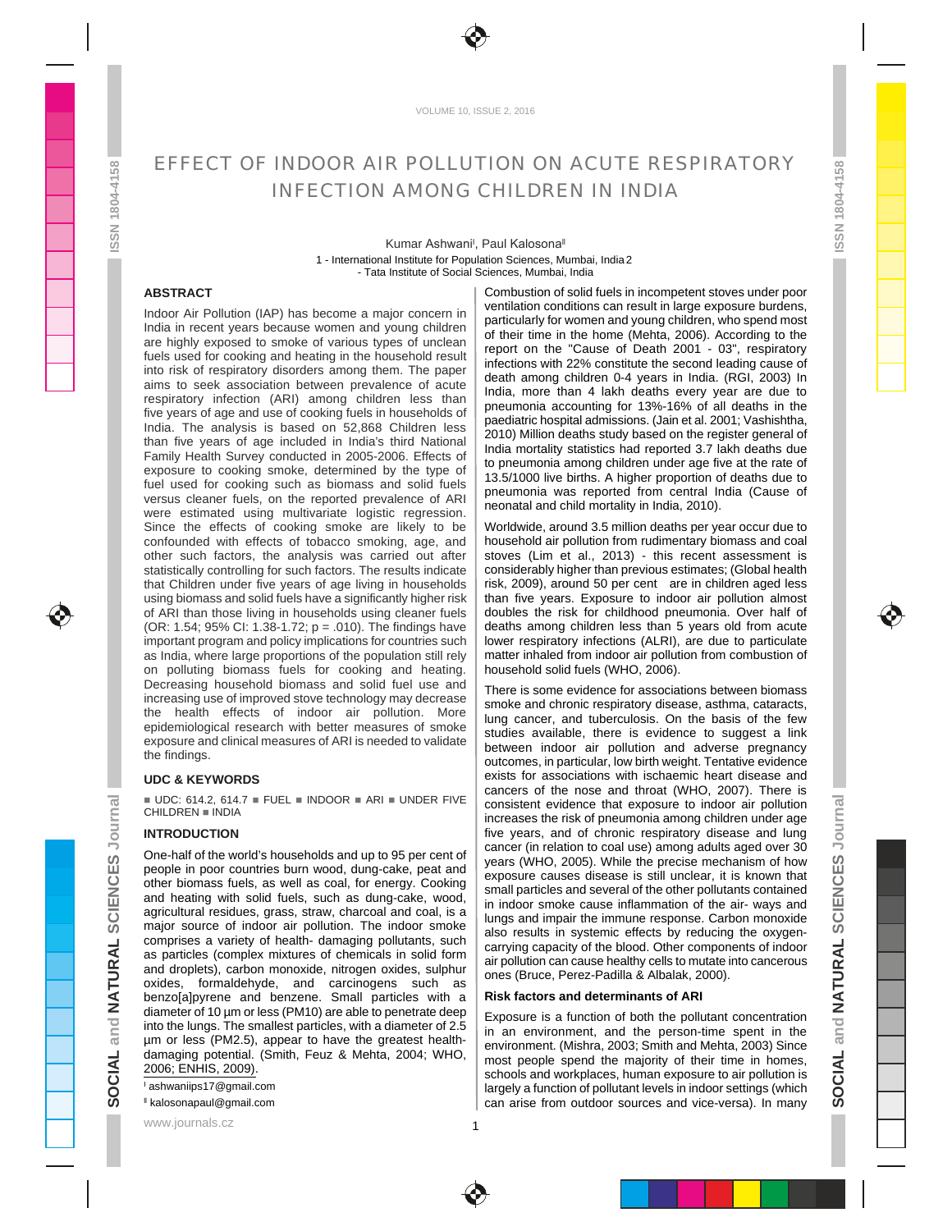

VOLUME 10, ISSUE 2, 2016

# EFFECT OF INDOOR AIR POLLUTION ON ACUTE RESPIRATORY \_\_\_\_\_\_\_\_\_\_\_\_\_\_\_\_\_\_\_\_\_\_\_\_\_\_\_\_ INFECTION AMONG CHILDREN IN INDIA TELLET THE STATE OF THE STATE OF THE STATE OF THE STATE OF THE STA

# - Tata Institute of Social Sciences, Mumbai, India New York New York New York New York New York New York New York New York New York New York New York New York New York New York New York New York New York New York New York Kumar Ashwani<sup>1</sup>, Paul Kalosona<sup>11</sup>

than five years of age included in India's third National<br>Family Health Survey conducted in 2005-2006. Effects of the assuments agreed at the set of the set of the set were estimated using multivariate logistic regression. The mondal and child mondally in mula, 2010). Since the effects of cooking smoke are likely to be | Worldwide, around 3.5 million deaths per year occur due to confounded with effects of tobacco smoking, age, and | household air pollution from rudimentary biomass and coal other such factors, the analysis was carried out after | stoves (Lim et al., 2013) - this recent assessment is statistically controlling for such factors. The results indicate  $\; \mid \;$  considerably higher than previous estimates; (Global health that Children under five years of age living in households | risk, 2009), around 50 per cent \_are in children aged less using biomass and solid fuels have a significantly higher risk  $|$  than five years. Exposure to indoor air pollution almost  $\perp$ of ARI than those living in households using cleaner fuels | doubles the risk for childhood pneumonia. Over half of  $\langle \langle \rangle$ (OR: 1.54; 95% CI: 1.38-1.72; p = .010). The findings have | deaths among children less than 5 years old from acute important program and policy implications for countries such  $\, \mid \,$  lower respiratory infections (ALRI), are due to particulate as India, where large proportions of the population still rely | matter inhaled from indoor air pollution from combustion of on polluting biomass fuels for cooking and heating. | household solid fuels (WHO, 2006). Decreasing household biomass and solid fuel use and  $\vert$  there is some evidence for associations between biomass **FFI-FLIUM CREATED AND ANOTHER COLLECTION OF ACCOUNT CREATED AND COLLECTION CONTINUES. THE CONTINUES ISSN 1804-41588 (WAS COLLECTION CONTINUES) and the collection of a state of a state of a state of a state of a state of EFFICIT UP INTO LATER FORMAT AND A CONTENT AND MANUAL INTERFECTIVE AND INTO LATER FORMAT AND INTO LATER FORMAT AND INTO LATER FORMAT AND INTO LATER FORMAT AND INTERFECTIVE AND INTERFECTIVE AND INTO LATER FORMAT AND INTO** 

One-half of the world's households and up to 95 per cent of  $\frac{1}{2}$  vector (WHO) 2005). While the precise mechanism of how  $\frac{1}{2}$ people in poor countries burn wood, dung-cake, peat and  $\frac{1}{2}$  concerns causes disease is still up detail in the state in the state of the state of the state of the state of the state of the state of the state of the s other biomass fuels, as well as coal, for energy. Cooking  $\frac{1}{2}$  and particles and several of the other pollutiatic contained and heating with solid fuels, such as dung-cake, wood,  $\frac{1}{2}$  in index smaller cause inflammation of the six wave and  $\frac{1}{2}$ agricultural residues, grass, straw, charcoal and coal, is a  $\frac{1000 \text{ m}}{1000 \text{ s}}$  and  $\frac{1000 \text{ m}}{1000 \text{ s}}$  for  $\frac{1000 \text{ m}}{1000 \text{ s}}$  for  $\frac{1000 \text{ m}}{1000 \text{ s}}$ major source of indoor air pollution. The indoor smoke  $\frac{1}{2}$  also results in systemic offerite by reducing the existence  $\frac{1}{2}$ comprises a variety of health- damaging pollutants, such  $\frac{1}{2}$  can in experime cancely of the blood. Other components of index  $\frac{1}{2}$ as particles (complex mixtures of chemicals in solid form  $\frac{1}{2}$  in pollution can cause begins with calls to multiple into capacity  $\epsilon$ and droplets), carbon monoxide, nitrogen oxides, sulphur  $\left| \begin{array}{c} \cos(\beta x) & \cos(\beta x) & \cos(\beta x) & \sin(\beta x) \\ \cos(\beta x) & \cos(\beta x) & \sin(\beta x) & \cos(\beta x) \end{array} \right|$ oxides, formaldehyde, and carcinogens such as benzo[a]pyrene and benzene. Small particles with a  $\mid$  **Risk factors and determinants of ARI**  $\mid$   $\mid$   $\mid$   $\mid$   $\mid$   $\mid$   $\mid$ diameter of 10 µm or less (PM10) are able to penetrate deep  $\mid$  Exposure is a function of both the pollutant concentration µm or less (PM2.5), appear to have the greatest health-

ABSTRACT **ABSTRACT ABSENT ABSENT ABSENT ASSESS ABSENT ABSENT ABSENT ABSENT ABSENT ABSENT ABSENT ABSENT ABSENT ABSENT ABSENT ABSENT ABSENT ABSENT ABSENT ABSENT ABSENT ABSENT ABSENT ABSENT ABSENT ABSENT ABSENT ABSENT ABS** Indoor Air Pollution (IAP) has become a major concern in experience to the magnetic metal in the special position of the concern in the special position who concern in the special position who concern in the special positi India in recent years because women and young children  $\left| \right|$  of their time in the borne (Mohto 2006). According to the are highly exposed to smoke of various types of unclean  $\frac{1}{2}$  report on the  $\frac{1}{2}$  cannot contain  $2001$ .  $02\frac{1}{2}$  received to  $\frac{1}{2}$ fuels used for cooking and heating in the household result in fortion with 23% opportunity the second location current in the second in the second in the second in the second in the second in the second in the second in th into risk of respiratory disorders among them. The paper  $\vert$  dent have been a children 0.4 years in India (BCL 2003) In aims to seek association between prevalence of acute respiratory infection (ARI) among children less than  $\frac{1}{2}$  mountains accounting for 13% 16% of all doath in the five years of age and use of cooking fuels in households of proceduring provided administer to the other than 1900 to the cooline that India. The analysis is based on  $52,868$  Children less  $\begin{bmatrix} 2040 \\ 2040 \end{bmatrix}$  Million dopted that where do the register appendix Family Health Survey conducted in 2005-2006. Effects of the program is applicable in the set for the rate of the rate of exposure to cooking smoke, determined by the type of  $\frac{1}{2}$   $\frac{1}{2}$   $\frac{1}{2}$   $\frac{1}{2}$   $\frac{1}{2}$   $\frac{1}{2}$   $\frac{1}{2}$   $\frac{1}{2}$   $\frac{1}{2}$   $\frac{1}{2}$   $\frac{1}{2}$   $\frac{1}{2}$   $\frac{1}{2}$   $\frac{1}{2}$   $\frac{1}{2}$   $\frac{1}{2}$   $\frac{1}{2}$ fuel used for cooking such as biomass and solid fuels  $\frac{1}{2}$  for contract from contract from contract  $\frac{1}{2}$  for  $\frac{1}{2}$  for  $\frac{1}{2}$  for  $\frac{1}{2}$  for  $\frac{1}{2}$  for  $\frac{1}{2}$  for  $\frac{1}{2}$  for  $\frac{1}{2}$  for  $\frac{$ versus cleaner fuels, on the reported prevalence of  $ARI \rightarrow$  proported prevaled prevalent in hote  $2010$ . Combustion of solid fuels in incompetent stoves under poor ventilation conditions can result in large exposure burdens, particularly for women and young children, who spend most **the contact of the state of the state** of their time in the home (Mehta, 2006). According to the **the state of the state of the state of the state of the** report on the "Cause of Death 2001 - 03", respiratory state of the state of Death 2001 - 03", respiratory infections with 22% constitute the second leading cause of **Fig. 1** death among children 0-4 years in India. (RGI, 2003) In India, more than 4 lakh deaths every year are due to pneumonia accounting for 13%-16% of all deaths in the paediatric hospital admissions. (Jain et al. 2001; Vashishtha, 2010) Million deaths study based on the register general of India mortality statistics had reported 3.7 lakh deaths due to pneumonia among children under age five at the rate of 13.5/1000 live births. A higher proportion of deaths due to pneumonia was reported from central India (Cause of neonatal and child mortality in India, 2010).

Worldwide, around 3.5 million deaths per year occur due to household air pollution from rudimentary biomass and coal stoves (Lim et al., 2013) - this recent assessment is considerably higher than previous estimates; (Global health risk, 2009), around 50 per cent are in children aged less than five years. Exposure to indoor air pollution almost doubles the risk for childhood pneumonia. Over half of deaths among children less than 5 years old from acute lower respiratory infections (ALRI), are due to particulate matter inhaled from indoor air pollution from combustion of household solid fuels (WHO, 2006).

increasing use of improved stove technology may decrease<br>
strong and chronic respiratory disease asthma cataractery the health effects of indoor air pollution. More  $\frac{1}{2}$  the cancer and tuberculosis On the basis of the few epidemiological research with better measures of smoke  $\left| \frac{u}{\text{etudies}} \right|$  and  $\left| \frac{u}{\text{etedies}} \right|$  in the surface to surface to surface in  $\left| \frac{u}{\text{etudies}} \right|$ exposure and clinical measures of ARI is needed to validate  $\frac{1}{100}$  is negro indoor air pollution and adverse pregnancy the findings. **INTRODUCTION INTRODUCTION INTRODUCTION** There is some evidence for associations between biomass smoke and chronic respiratory disease, asthma, cataracts, lung cancer, and tuberculosis. On the basis of the few studies available, there is evidence to suggest a link between indoor air pollution and adverse pregnancy outcomes, in particular, low birth weight. Tentative evidence exists for associations with ischaemic heart disease and cancers of the nose and throat (WHO, 2007). There is  $\qquad \Box$ consistent evidence that exposure to indoor air pollution  $\Box$ increases the risk of pneumonia among children under age  $\quad \equiv$ five years, and of chronic respiratory disease and lung \_\_\_\_ cancer (in relation to coal use) among adults aged over 30  $\Box$ years (WHO, 2005). While the precise mechanism of how and the state of the state of the state of the state of t exposure causes disease is still unclear, it is known that  $\overline{a}$ small particles and several of the other pollutants contained  $\qquad \tilde{Z}$ in indoor smoke cause inflammation of the air- ways and  $\Box$ lungs and impair the immune response. Carbon monoxide  $\quad \bullet \quad \blacksquare$ also results in systemic effects by reducing the oxygen-<br>carrying capacity of the blood. Other components of indoor carrying capacity of the blood. Other components of indoor  $\overrightarrow{z}$ air pollution can cause healthy cells to mutate into cancerous  $\overrightarrow{C}$ ones (Bruce, Perez-Padilla & Albalak, 2000). UDC & KEYWORDS **Example 2018** Exists for associations with iscritement disease and UDC: 614.2, 614.7 FUEL INDOOR ARI UNDER FIVE  $\int$  consistent evidence that exposure to indoor air pollution CHILDREN INDIA  $\begin{bmatrix} 1 & 1 & 1 \\ 1 & 1 & 1 \end{bmatrix}$ 2 - International Institute for Control international Institute for Control international Institute for Control international Institute for Control international Institute for Control international Institute internation

## **Risk factors and determinants of ARI**

into the lungs. The smallest particles, with a diameter of 2.5  $\frac{1}{2}$  in an environment and the person-time spent in the damaging potential. (Smith, Feuz & Mehta, 2004; WHO,  $\frac{1}{2}$  most people spend the majority of their time in bomes  $\frac{1}{2}$ 2006; ENHIS, 2009).  $\frac{\text{Simplify the following Theorem 2.1: } \text{[a]} \times \text{[b]} \times \text{[c]}}{\text{[c]}}$ Exposure is a function of both the pollutant concentration  $\overline{\phantom{a}}$ in an environment, and the person-time spent in the  $\quad \subseteq$   $\qquad \qquad$ environment. (Mishra, 2003; Smith and Mehta, 2003) Since most people spend the majority of their time in homes,  $\vec{a}$ schools and workplaces, human exposure to air pollution is  $\vec{r}$ largely a function of pollutant levels in indoor settings (which  $\overline{O}$   $\overline{\phantom{O}}$ can arise from outdoor sources and vice-versa). In many  $\bullet$   $\bullet$  | ashwaniips17@gmail.com **International Community Community Community Community Community Community Community Community Community Community Community Community Community Community Community Community Community Community Comm** I kalosonapaul@gmail.com **are consider the constant of the constant of the constant of the constant of the constant of the constant of the constant of the constant of the constant of the constant of the constant of the co** 

1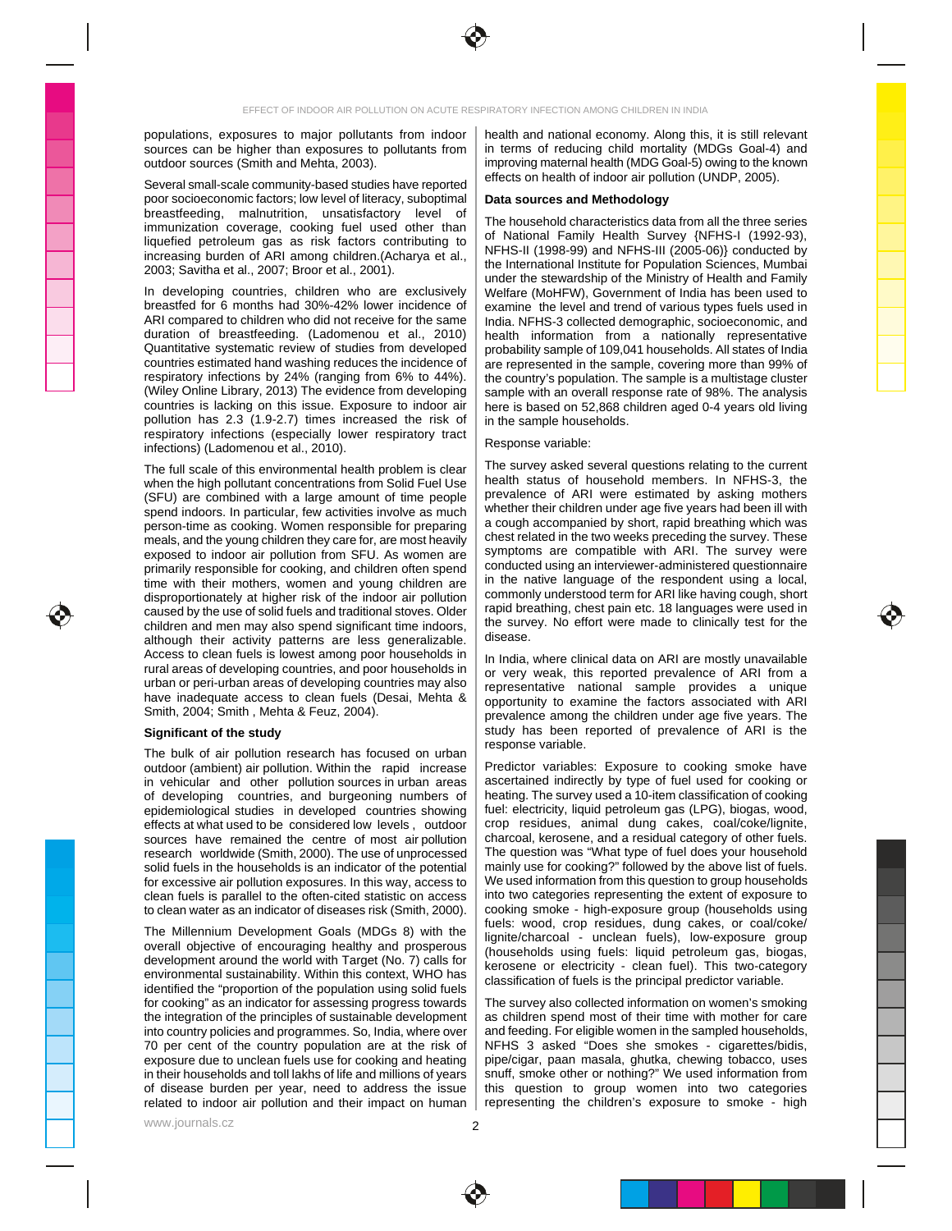

Several small-scale community-based studies have reported  $\vert$  chood on health of masor all pollution (ONDT, 2000). poor socioeconomic factors; low level of literacy, suboptimal **Data sources and Methodology** and the socioeconomic factors in the social conduction of the social conduction of the social conduction of the social conduction breastfeeding, malnutrition, unsatisfactory level of <sub>The household</sub> characteristics data from all the three earlies

pollution has 2.3 (1.9-2.7) times increased the risk of | in the sample households. respiratory infections (especially lower respiratory tract | newspaper state is not all the second state in the second state is not all the second state in the second state is not all the second state in the second state i infections) (Ladomenou et al., 2010). The contraction of the exercise variable.

The full scale of this environmental health problem is clear | The survey asked several questions relating to the current when the high pollutant concentrations from Solid Fuel Use | nealth status of household members. In NFHS-3, the (SFU) are combined with a large amount of time people prevalence or ART were estimated by asking mothers spend indoors. In particular, few activities involve as much | Whether their children under age live years had been ill with person-time as cooking. Women responsible for preparing | a cough accompanied by short, rapid breathing which was meals, and the young children they care for, are most heavily | Chest related in the two weeks preceding the survey. These exposed to indoor air pollution from SFU. As women are symptoms are compatible with ARI. The survey were primarily responsible for cooking, and children often spend | Conducted using an interviewer-administered questionnaire time with their mothers, women and young children are I In the native language of the respondent using a local, disproportionately at higher risk of the indoor air pollution | commonly understood term for ARI like naving cough, short caused by the use of solid fuels and traditional stoves. Older  $\vert$  rapid preathing, chest pain etc. To languages were used in children and men may also spend significant time indoors,  $\parallel$  the survey. No enort were made to clinically test for the although their activity patterns are less generalizable. | <sup>disease.</sup> Noting the series of the series of the seri Access to clean fuels is lowest among poor households in Landia where clinical data on ARI are mostly unavailable rural areas of developing countries, and poor households in  $\vert$  or very weak, this reported prevalence of ARI from a urban or peri-urban areas of developing countries may also representative national sample provides a unique have inadequate access to clean fuels (Desai, Mehta &  $\vert$  opportunity to examine the factors associated with ARI

The bulk of air pollution research has focused on urban  $\vert$  in the matrix of the set of the set of the set of the set of the set of the set of the set of the set of the set of the set of the set of the set of the set of t

identified the "proportion of the population using solid fuels" Subsequence is the procedure product valuation for cooking" as an indicator for assessing progress towards | The survey also collected information on women's smoking \_\_\_\_\_\_\_\_\_\_\_\_\_\_\_\_ related to indoor air pollution and their impact on human | representing the children's exposure to smoke - high ware the theore than the theore are the theore are the theore the theore the theore the theore theore the the

populations, exposures to major pollutants from indoor | health and national economy. Along this, it is still relevant sources can be higher than exposures to pollutants from | in terms of reducing child mortality (MDGs Goal-4) and outdoor sources (Smith and Mehta, 2003).  $\qquad \qquad | \; \text{improving material health (MDG Goal-5) owing to the known}$ health and national economy. Along this, it is still relevant **the summer of the set of the set of the set** in terms of reducing child mortality (MDGs Goal-4) and improving maternal health (MDG Goal-5) owing to the known effects on health of indoor air pollution (UNDP, 2005). The same of the setting of the setting of the setting o

### **Data sources and Methodology**

immunization coverage, cooking fuel used other than liquefied petroleum gas as risk factors contributing to  $\frac{1}{2}$  between  $\frac{1}{2}$  and  $\frac{1}{2}$  and  $\frac{1}{2}$  and  $\frac{1}{2}$  and  $\frac{1}{2}$  and  $\frac{1}{2}$  and  $\frac{1}{2}$  and  $\frac{1}{2}$  and  $\frac{1}{2}$  and  $\frac{1}{2}$  and  $\frac{1}{2$ increasing burden of ARI among children.(Acharya et al., increasing and increasing burden or increasing burden i 2003; Savitha et al., 2007; Broor et al., 2001). In developing countries, children who are exclusively | Welfare (MoHFW), Government of India has been used to breastfed for 6 months had 30%-42% lower incidence of | examine the level and trend of various types fuels used in ARI compared to children who did not receive for the same | India. NFHS-3 collected demographic, socioeconomic, and duration of breastfeeding. (Ladomenou et al., 2010) | health information from a nationally representative **the state of the state** Quantitative systematic review of studies from developed | probability sample of 109,041 households. All states of India countries estimated hand washing reduces the incidence of | are represented in the sample, covering more than 99% of  $\leftarrow$ respiratory infections by 24% (ranging from 6% to 44%). | the country's population. The sample is a multistage cluster (Wiley Online Library, 2013) The evidence from developing | sample with an overall response rate of 98%. The analysis countries is lacking on this issue. Exposure to indoor air | here is based on 52,868 children aged 0-4 years old living The household characteristics data from all the three series **The contract of the set of the set of the set** of National Family Health Survey {NFHS-I (1992-93), NFHS-II (1998-99) and NFHS-III (2005-06)} conducted by the International Institute for Population Sciences, Mumbai under the stewardship of the Ministry of Health and Family **The Humor** Welfare (MoHFW), Government of India has been used to **the set of the set of the set of the set of the set of the set of the set of the set of the set of the set of the set of the set of the set of the set of the set of th** examine the level and trend of various types fuels used in **the same of the set of the set of the set of the set o** India. NFHS-3 collected demographic, socioeconomic, and **Fig. 1** health information from a nationally representative probability sample of 109,041 households. All states of India **Fig. 1** Fig. 1 are represented in the sample, covering more than 99% of **Fig. 1.1.** The same of the same of the same of the same the country's population. The sample is a multistage cluster **the country's** population. sample with an overall response rate of 98%. The analysis here is based on 52,868 children aged 0-4 years old living in the sample households.

## Response variable:

The survey asked several questions relating to the current health status of household members. In NFHS-3, the prevalence of ARI were estimated by asking mothers whether their children under age five years had been ill with a cough accompanied by short, rapid breathing which was chest related in the two weeks preceding the survey. These symptoms are compatible with ARI. The survey were conducted using an interviewer-administered questionnaire in the native language of the respondent using a local, commonly understood term for ARI like having cough, short rapid breathing, chest pain etc. 18 languages were used in the survey. No effort were made to clinically test for the disease. The contract of the contract of the contract of the contract of the contract of the contract of the contract of the contract of the contract of the contract of the contract of the contract of the contract of the c

Smith, 2004; Smith , Mehta & Feuz, 2004).  $\overline{a}$   $\overline{b}$  is revalence among the children under age five vears. The **Significant of the study Study Study Study** has been reported or prevalence or ARI is the study **Study Study** In India, where clinical data on ARI are mostly unavailable or very weak, this reported prevalence of ARI from a representative national sample provides a unique opportunity to examine the factors associated with ARI prevalence among the children under age five years. The study has been reported of prevalence of ARI is the response variable.

outdoor (ambient) air pollution. Within the rapid increase | Predictor variables: Exposure to cooking smoke have in vehicular and other pollution sources in urban areas | ascertained indirectly by type of fuel used for cooking or of developing countries, and burgeoning numbers of | heating. The survey used a 10-item classification of cooking epidemiological studies in developed countries showing | fuel: electricity, liquid petroleum gas (LPG), biogas, wood, effects at what used to be considered low\_levels, outdoor  $\, \mid$  crop\_residues, animal\_dung\_cakes, coal/coke/lignite, sources have remained the centre of most air pollution | charcoal, kerosene, and a residual category of other fuels. research worldwide (Smith, 2000). The use of unprocessed  $\, \mid \,$  The question was "What type of fuel does your household solid fuels in the households is an indicator of the potential | mainly use for cooking?" followed by the above list of fuels. for excessive air pollution exposures. In this way, access to  $\Box$  We used information from this question to group households clean fuels is parallel to the often-cited statistic on access | into two categories representing the extent of exposure to to clean water as an indicator of diseases risk (Smith, 2000). | cooking smoke - high-exposure group (households using states and the state of The Millennium Development Goals (MDGs 8) with the  $\frac{1}{100}$  included charged a unclean fuels) low-exposure group overall objective of encouraging healthy and prosperous  $\frac{1}{2}$  (boundable using fusive fusive initial petroleum assessments) development around the world with Target (No. 7) calls for **expressions** or electricity and property the U.S. This two-category environmental sustainability. Within this context, WHO has  $\left| \begin{array}{c} \cos \theta & \cos \theta \\ \cos \theta & \sin \theta \end{array} \right|$  is the principal predictor variable Predictor variables: Exposure to cooking smoke have ascertained indirectly by type of fuel used for cooking or heating. The survey used a 10-item classification of cooking fuel: electricity, liquid petroleum gas (LPG), biogas, wood, crop residues, animal dung cakes, coal/coke/lignite, charcoal, kerosene, and a residual category of other fuels. The question was "What type of fuel does your household mainly use for cooking?" followed by the above list of fuels. We used information from this question to group households into two categories representing the extent of exposure to cooking smoke - high-exposure group (households using fuels: wood, crop residues, dung cakes, or coal/coke/ lignite/charcoal - unclean fuels), low-exposure group (households using fuels: liquid petroleum gas, biogas, kerosene or electricity - clean fuel). This two-category classification of fuels is the principal predictor variable.

the integration of the principles of sustainable development | as children spend most of their time with mother for care | | | into country policies and programmes. So, India, where over 70 per cent of the country population are at the risk of | NFHS 3 asked "Does she smokes - cigarettes/bidis, \_\_\_\_\_\_\_\_\_ exposure due to unclean fuels use for cooking and heating | pipe/cigar, paan masala, ghutka, chewing tobacco, uses \_\_\_\_\_\_\_\_\_\_\_\_\_\_\_\_\_\_\_\_ in their households and toll lakhs of life and millions of years  $\; \mid \;$  snuff, smoke other or nothing?" We used information from  $\;$ of disease burden per year, need to address the issue | this question to group women into two categories \_\_\_\_\_\_ The survey also collected information on women's smoking as children spend most of their time with mother for care and feeding. For eligible women in the sampled households, NFHS 3 asked "Does she smokes - cigarettes/bidis, pipe/cigar, paan masala, ghutka, chewing tobacco, uses snuff, smoke other or nothing?" We used information from this question to group women into two categories representing the children's exposure to smoke - high

www.journals.cz

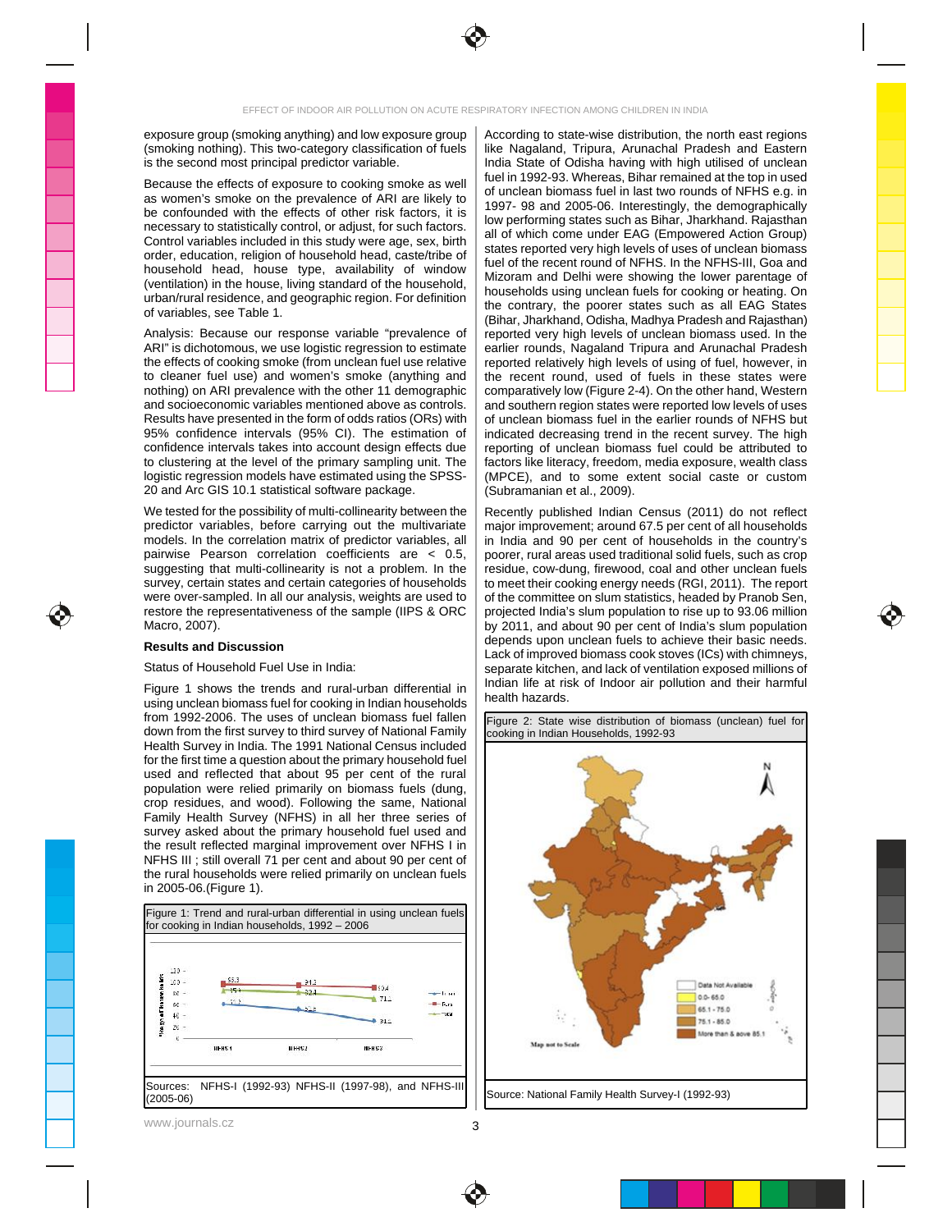

exposure group (smoking anything) and low exposure group | According to state-wise distribution, the north east regions (smoking nothing). This two-category classification of fuels | like Nagaland, Tripura, Arunachal Pradesh and Eastern

as women's smoke on the prevalence of ARI are likely to  $\frac{100 \times 1000 \times 1000 \times 1000 \times 1000 \times 1000 \times 1000 \times 1000 \times 1000 \times 1000 \times 1000 \times 1000 \times 1000 \times 1000 \times 1000 \times 1000 \times 1000 \times 1000 \times 1000 \times 1000 \times 1000 \times 1000 \times 1000 \times 1$ be confounded with the effects of other risk factors, it is necessary to statistically control, or adjust, for such factors.  $\begin{bmatrix} 0 \\ 0 \end{bmatrix}$  of which go me under  $\begin{bmatrix} 0 \\ 0 \end{bmatrix}$  (Francuscal Adjace Crew) Control variables included in this study were age, sex, birth  $\begin{bmatrix} 1 & 1 & 0 \\ 0 & 0 & 0 \\ 0 & 0 & 0 \end{bmatrix}$  and the set of the latter than the latter than the set of the set of the set of the set of the set of the set of the s order, education, religion of household head, caste/tribe of studied the recent reund of NEWS is the NEWS III Case and household head, house type, availability of window window and below the second the large processes of (ventilation) in the house, living standard of the household,  $\frac{1}{2}$  households using uncles fuck for socking or botting. On urban/rural residence, and geographic region. For definition and research the population of the post of the second states of the second states of the second states of the second states of the second states of the second st

Analysis: Because our response variable "prevalence of | reported very high levels of unclean biomass used. In the ARI" is dichotomous, we use logistic regression to estimate | earlier rounds, Nagaland Tripura and Arunachal Pradesh the effects of cooking smoke (from unclean fuel use relative | reported relatively high levels of using of fuel, however, in  $\leftarrow$ to cleaner fuel use) and women's smoke (anything and | the recent round, used of fuels in these states were | | nothing) on ARI prevalence with the other 11 demographic | comparatively low (Figure 2-4). On the other hand, Western and socioeconomic variables mentioned above as controls. Results have presented in the form of odds ratios (ORs) with | of unclean biomass fuel in the earlier rounds of NFHS but 95% confidence intervals (95% CI). The estimation of | indicated decreasing trend in the recent survey. The high confidence intervals takes into account design effects due | reporting of unclean biomass fuel could be attributed to to clustering at the level of the primary sampling unit. The  $\, \mid \,$  factors like literacy, freedom, media exposure, wealth class logistic regression models have estimated using the SPSS-

predictor variables, before carrying out the multivariate | major improvement; around 67.5 per cent of all households models. In the correlation matrix of predictor variables, all  $\vert$  in India and 90 per cent of households in the country's pairwise Pearson correlation coefficients are  $\vert$  = 0.5,  $\vert$  poorer, rural areas used traditiona pairwise Pearson correlation coefficients are < 0.5, | poorer, rural areas used traditional solid fuels, such as crop suggesting that multi-collinearity is not a problem. In the | residue, cow-dung, firewood, coal and other unclean fuels survey, certain states and certain categories of households  $\, \mid \,$  to meet their cooking energy needs (RGI, 2011). The report were over-sampled. In all our analysis, weights are used to  $\; \mid \;$  of the committee on slum statistics, headed by Pranob Sen, restore the representativeness of the sample (IIPS & ORC | projected India's slum population to rise up to 93.06 million  $\mathcal{L}$ 

using unclean biomass fuel for cooking in Indian households  $\parallel$  Digmin Hazarus. from 1992-2006. The uses of unclean biomass fuel fallen | Figure 2: State wise distribution of biomass (unclean) fuel for down from the first survey to third survey of National Family | cooking in Indian Households, 1992-93 Health Survey in India. The 1991 National Census included | The Communication Communication Communication Communication Communication Communication Communication Communication Communication Communication Communication Comm for the first time a question about the primary household fuel  $\|\cdot\|$ used and reflected that about 95 per cent of the rural  $\begin{bmatrix} 1 & 1 \end{bmatrix}$ population were relied primarily on biomass fuels (dung,  $\vert \vert$  , and the set of the set of the set of the set of the set of the set of the set of the set of the set of the set of the set of the set of the set of the set crop residues, and wood). Following the same, National || **Campus Communist Communist Communist Communist Communist Communist Communist Communist Communist Communist Communist Communist Communist Communist Communist Commun** Family Health Survey (NFHS) in all her three series of  $\vert \vert$  and the series of  $\vert$  and the series of  $\vert$  and the series of  $\vert$  and the series of  $\vert$  and the series of  $\vert$  and the series of  $\vert$  and the series of  $\vert$ survey asked about the primary household fuel used and  $\vert \vert$ the result reflected marginal improvement over NFHS I in  $\vert \vert$ NFHS III ; still overall 71 per cent and about 90 per cent of  $\vert \vert$  . The state of the state of the state of the state of the state of the state of the state of the state of the state of the state of the state of the stat the rural households were relied primarily on unclean fuels  $\|\cdot\|$ 



www.journals.cz  $\overline{\phantom{a}}$   $\overline{\phantom{a}}$   $\overline{\phantom{a}}$   $\overline{\phantom{a}}$   $\overline{\phantom{a}}$   $\overline{\phantom{a}}$   $\overline{\phantom{a}}$   $\overline{\phantom{a}}$   $\overline{\phantom{a}}$   $\overline{\phantom{a}}$   $\overline{\phantom{a}}$   $\overline{\phantom{a}}$   $\overline{\phantom{a}}$   $\overline{\phantom{a}}$   $\overline{\phantom{a}}$   $\overline{\phantom{a}}$   $\overline{\phantom{a}}$ 

is the second most principal predictor variable.  $\vert$  India State of Odisha having with high utilised of unclean Because the effects of exposure to cooking smoke as well  $\frac{1}{2}$  determined because fusion for the countries at the  $\frac{1}{2}$  at  $\frac{1}{2}$ of variables, see Table 1. 20 and Arc GIS 10.1 statistical software package. According to state-wise distribution, the north east regions **According** to state-wise like Nagaland, Tripura, Arunachal Pradesh and Eastern **The Container and Lorent Article** India State of Odisha having with high utilised of unclean **Interpret of the state** fuel in 1992-93. Whereas, Bihar remained at the top in used of unclean biomass fuel in last two rounds of NFHS e.g. in 1997- 98 and 2005-06. Interestingly, the demographically **the set of the set of the set of the set of the set o** low performing states such as Bihar, Jharkhand. Rajasthan all of which come under EAG (Empowered Action Group) states reported very high levels of uses of unclean biomass **in the case of the set of the set of the s** fuel of the recent round of NFHS. In the NFHS-III, Goa and **Face 1** Mizoram and Delhi were showing the lower parentage of **Alleman** households using unclean fuels for cooking or heating. On **the contact of the set of the contact** the contrary, the poorer states such as all EAG States (Bihar, Jharkhand, Odisha, Madhya Pradesh and Rajasthan) reported very high levels of unclean biomass used. In the **the solution of the set of the set of the set** earlier rounds, Nagaland Tripura and Arunachal Pradesh \_\_\_\_\_\_\_\_\_\_\_\_\_\_\_\_\_\_\_\_\_\_\_\_\_ reported relatively high levels of using of fuel, however, in **Fig. 1** the recent round, used of fuels in these states were **the set of the set of the set of the set of the set of the s** comparatively low (Figure 2-4). On the other hand, Western and southern region states were reported low levels of uses of unclean biomass fuel in the earlier rounds of NFHS but indicated decreasing trend in the recent survey. The high reporting of unclean biomass fuel could be attributed to factors like literacy, freedom, media exposure, wealth class (MPCE), and to some extent social caste or custom (Subramanian et al., 2009).

We tested for the possibility of multi-collinearity between the  $\, \mid \,$  Recently published Indian Census (2011) do not reflect Macro, 2007).  $\blacksquare$  Dy 2011, and about 90 per cent of India's slum population  $\blacksquare$ **Results and Discussion** Status of Household Fuel Use in India: Figure 1 shows the trends and rural-urban differential in the article of the second second formation and their natural Recently published Indian Census (2011) do not reflect major improvement; around 67.5 per cent of all households in India and 90 per cent of households in the country's poorer, rural areas used traditional solid fuels, such as crop residue, cow-dung, firewood, coal and other unclean fuels to meet their cooking energy needs (RGI, 2011). The report of the committee on slum statistics, headed by Pranob Sen, projected India's slum population to rise up to 93.06 million by 2011, and about 90 per cent of India's slum population depends upon unclean fuels to achieve their basic needs. Lack of improved biomass cook stoves (ICs) with chimneys, separate kitchen, and lack of ventilation exposed millions of Indian life at risk of Indoor air pollution and their harmful health hazards.



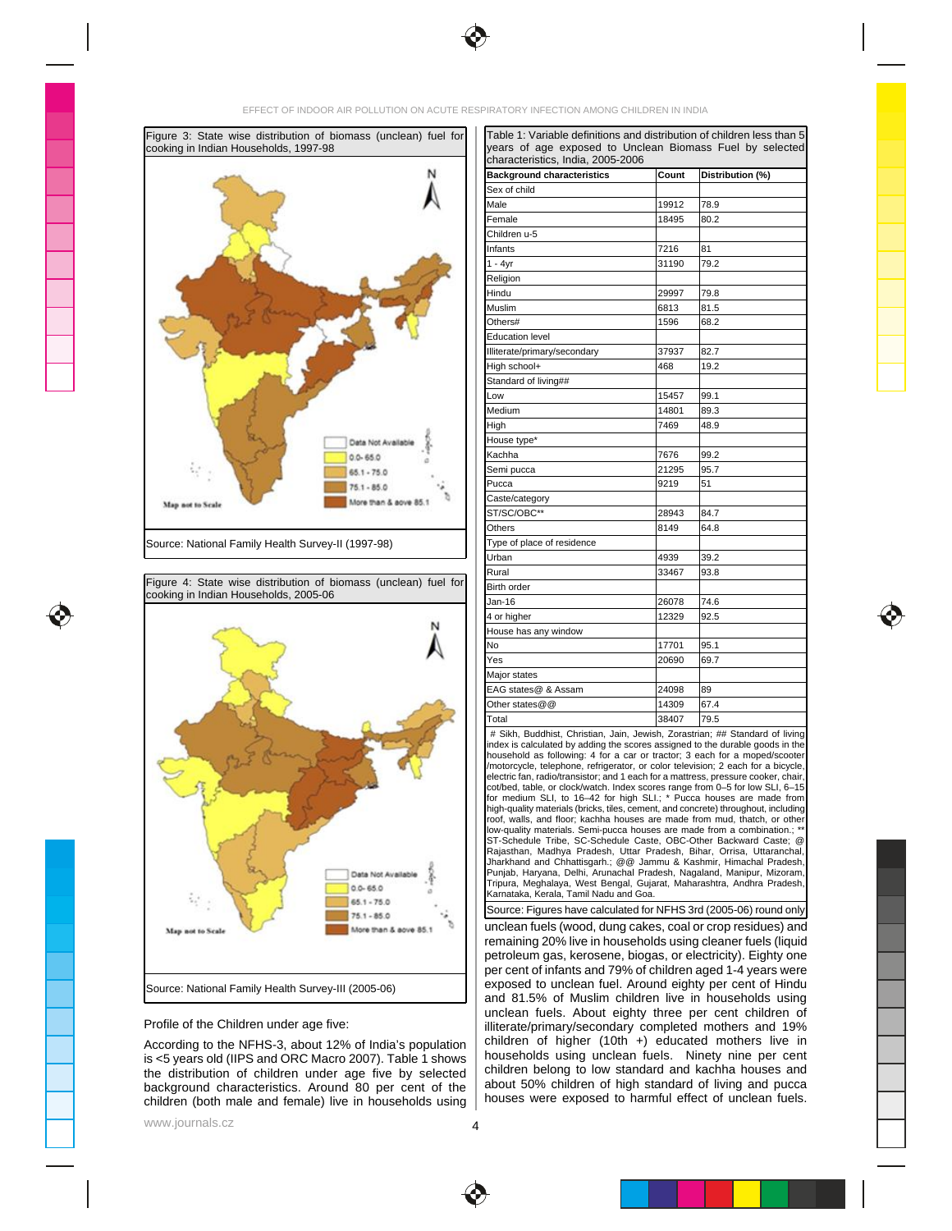





According to the NFHS-3, about 12% of India's population challenge of nigher (10th +) educated mothers live in is <5 years old (IIPS and ORC Macro 2007). Table 1 shows | nousenoids using unclean fuels. Ninety nine per cent the distribution of children under age five by selected children belong to low standard and kachna nouses and background characteristics. Around 80 per cent of the  $\vert$  about 50% children of high standard of living and pucca children (both male and female) live in households using | nouses were exposed to narmitul effect or unclean fuels.

Figure 3: State wise distribution of biomass (unclean) fuel for cooking in Indian Households, 1997-98 | |years\_of\_age\_exposed\_to\_Unclean\_Biomass\_Fuel\_by\_selected|\_\_\_\_\_\_\_\_ Source: National Family Health Survey-II (1997-98) Table 1: Variable definitions and distribution of children less than 5 years of age exposed to Unclean Biomass Fuel by selected characteristics, India, 2005-2006 **Background characteristics Count Distribution (%)** Sex of child **Sex of child** Male 19912 78.9 and 19912 78.9 and 19912 78.9 and 1991 Female 18495 80.2 Pemale 2002 and the set of the set of the set of the set of the set of the set of the set of Children u-5 Infants 7216 81 1 - 4yr 31190 79.2 Religion Hindu 29997 79.8 Muslim 6813 81.5 Others# 1596 68.2 Education level **Education** and the contract of the contract of the contract of the contract of the contract of the contract of the contract of the contract of the contract of the contract of the contract of the contract o Illiterate/primary/secondary 37937 82.7 High school+ 468 19.2 Standard of living## Low 15457 99.1 Medium 14801 89.3 High 7469 48.9 House type\* Kachha 7676 99.2 and 7676 99.2 and 7676 199.2 and 7676 199.2 and 7676 199.2 and 767 199.2 and 767 199.2 and 76 Semi pucca 21295 95.7 Pucca 9219 51 Caste/category **Caster and Caster and Caster and Caster and Caster and Caster and Caster and Caster and Caster and Caster and Caster and Caster and Caster and Caster and Caster and Caster and Caster and Caster and Caster a**  $ST/SC/OBC^{**}$  28943 84.7 Others 8149 64.8 **Communist Communist Except** 64.8 Type of place of residence Urban 4939 39.2 Rural 33467 93.8 and 33467 93.8 Birth order and the control of the control of the control of the control of the control of the control of the control of the control of the control of the control of the control of the control of the control of the control Jan-16 26078 74.6 4 or higher 12329 12329 92.5 House has any window No 17701 95.1 and 17701 95.1 and 17701 95.1 and 17701 95.1 and 178.1 and 178.1 and 178.1 and 178.1 and 178.1 a Yes 20690 69.7 Major states EAG states@ & Assam 24098 89 Other states @ @  $\qquad \qquad$  14309  $\qquad \qquad$  67.4 Total 38407 79.5 # Sikh, Buddhist, Christian, Jain, Jewish, Zorastrian; ## Standard of living index is calculated by adding the scores assigned to the durable goods in the household as following: 4 for a car or tractor; 3 each for a moped/scooter /motorcycle, telephone, refrigerator, or color television; 2 each for a bicycle<br>electric fan. radio/transistor: and 1 each for a mattress. pressure cooker. chair electric fan, radio/transistor; and 1 each for a mattress, pressure cooker, chair, cot/bed, table, or clock/watch. Index scores range from 0–5 for low SLI, 6–15

for medium SLI, to 16–42 for high SLI.; \* Pucca houses are made from high-quality materials (bricks, tiles, cement, and concrete) throughout, including roof, walls, and floor; kachha houses are made from mud, thatch, or other low-quality materials. Semi-pucca houses are made from a combination.; \*\* ST-Schedule Tribe, SC-Schedule Caste, OBC-Other Backward Caste; @ Rajasthan, Madhya Pradesh, Uttar Pradesh, Bihar, Orrisa, Uttaranchal, Jharkhand and Chhattisgarh.; @@ Jammu & Kashmir, Himachal Pradesh, Punjab, Haryana, Delhi, Arunachal Pradesh, Nagaland, Manipur, Mizoram, Tripura, Meghalaya, West Bengal, Gujarat, Maharashtra, Andhra Pradesh, Karnataka, Kerala, Tamil Nadu and Goa.

Profile of the Children under age five: example it is a set of illiterate/primary/secondary completed mothers and 19% unclean fuels (wood, dung cakes, coal or crop residues) and remaining 20% live in households using cleaner fuels (liquid petroleum gas, kerosene, biogas, or electricity). Eighty one per cent of infants and 79% of children aged 1-4 years were exposed to unclean fuel. Around eighty per cent of Hindu and 81.5% of Muslim children live in households using unclean fuels. About eighty three per cent children of **Table 10** and the set of the set of the set of the set o illiterate/primary/secondary completed mothers and 19% children of higher (10th +) educated mothers live in households using unclean fuels. Ninety nine per cent children belong to low standard and kachha houses and about 50% children of high standard of living and pucca houses were exposed to harmful effect of unclean fuels. Source: Figures have calculated for NFHS 3rd (2005-06) round only

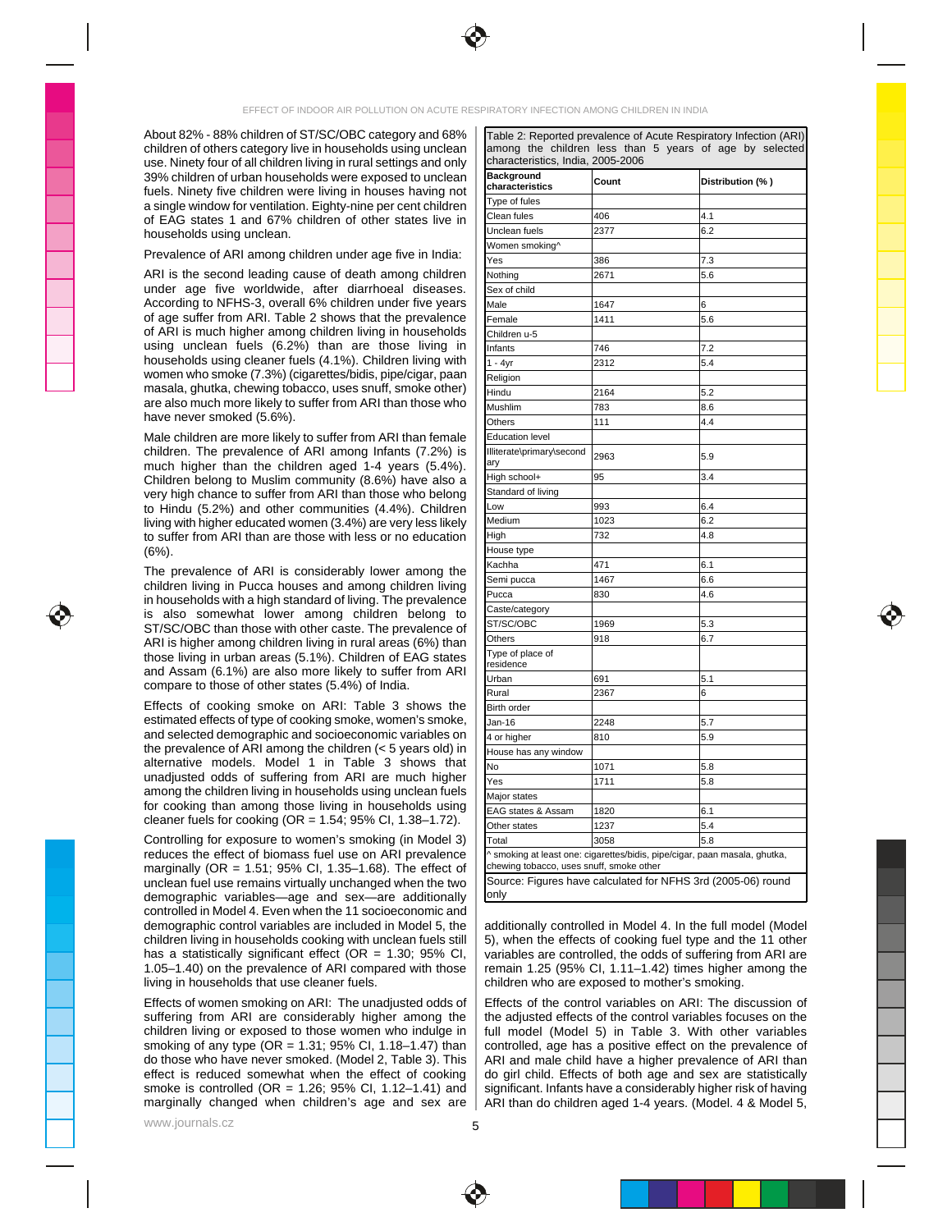

About 82% - 88% children of ST/SC/OBC category and 68% | Table 2: Reported prevalence of Acute Respiratory Infection (ARI) **| with a state** and the state of Acute Respiratory Infection (ARI) **| with a state of the state of** children of others category live in households using unclean

demographic variables—age and sex—are additionally controlled in Model 4. Even when the 11 socioeconomic and state and state and state and state and state and state and state and state and state and state and state and state and state and state and state and state and stat demographic control variables are included in Model 5, the | additionally controlled in Model 4. In the full model (Model **The Controllect Controllect Controllect** Controllect Controllect Controllect Controllect Controllec children living in households cooking with unclean fuels still | 5), when the effects of cooking fuel type and the 11 other

| children of others category live in households using unclean   among the children less than 5 years of age by selected<br>characteristics, India, 2005-2006                                                                                                                                                                                                                                                                                                                  |  |  |
|------------------------------------------------------------------------------------------------------------------------------------------------------------------------------------------------------------------------------------------------------------------------------------------------------------------------------------------------------------------------------------------------------------------------------------------------------------------------------|--|--|
| use. Ninety four of all children living in rural settings and only<br>39% children of urban households were exposed to uncl.                                                                                                                                                                                                                                                                                                                                                 |  |  |
| Distribution (%)<br>Count<br>characteristics<br>fuels. Ninety five children were living in houses having not                                                                                                                                                                                                                                                                                                                                                                 |  |  |
| a single window for ventilation. Eighty-nine per cent children                                                                                                                                                                                                                                                                                                                                                                                                               |  |  |
| of EAG states 1 and 67% children of other states live in<br>households using unclean.<br>Prevalence of ARI among children under age five in India:<br>$\frac{1}{100}$                                                                                                                                                                                                                                                                                                        |  |  |
| $\frac{2377}{100}$                                                                                                                                                                                                                                                                                                                                                                                                                                                           |  |  |
|                                                                                                                                                                                                                                                                                                                                                                                                                                                                              |  |  |
|                                                                                                                                                                                                                                                                                                                                                                                                                                                                              |  |  |
| ARI is the second leading cause of death among children<br>under age five worldwide, after diarrhoeal diseases.<br>According to NFHS-3, overall 6% children under five years<br>of age suffer from ARI. Table 2 shows that the prevale                                                                                                                                                                                                                                       |  |  |
|                                                                                                                                                                                                                                                                                                                                                                                                                                                                              |  |  |
|                                                                                                                                                                                                                                                                                                                                                                                                                                                                              |  |  |
|                                                                                                                                                                                                                                                                                                                                                                                                                                                                              |  |  |
| using unclean fuels (6.2%) than are those living in                                                                                                                                                                                                                                                                                                                                                                                                                          |  |  |
| households using cleaner fuels (4.1%). Children living with<br>women who smoke (7.3%) (cigarettes/bidis, pipe/cigar, paan                                                                                                                                                                                                                                                                                                                                                    |  |  |
| $\frac{1}{200}$                                                                                                                                                                                                                                                                                                                                                                                                                                                              |  |  |
|                                                                                                                                                                                                                                                                                                                                                                                                                                                                              |  |  |
| masala, ghutka, chewing tobacco, uses snuff, smoke other)<br>are also much more likely to suffer from ARI than those who<br>have never smoked (5.6%).<br>$\frac{1}{2}$ $\frac{1}{2}$ $\frac{1}{2}$ $\frac{1}{2}$ $\frac{1}{2}$ $\frac{1}{2}$ $\frac{1}{2}$ $\frac{1}{2}$ $\frac{1}{2}$ $\frac{1}{2}$ $\frac{1}{2}$ $\frac{1}{2}$ $\frac{1}{2}$ $\frac{1}{2}$ $\frac{1}{2}$ $\frac{1}{2}$ $\frac{1}{2}$ $\frac{1}{2}$ $\frac{1}{2}$ $\frac{1}{2}$ $\frac{1}{2}$ $\frac{1}{2}$ |  |  |
| <u> 1995 - Johann Stein, mars an Amerikaansk politiker († 1958)</u><br>Male children are more likely to suffer from ARI than female $\; \big $                                                                                                                                                                                                                                                                                                                               |  |  |
| literate\primary\second   <sub>206</sub>                                                                                                                                                                                                                                                                                                                                                                                                                                     |  |  |
| children. The prevalence of ARI among Infants (7.2%) is<br>much higher than the children aged 1-4 years (5.4%).                                                                                                                                                                                                                                                                                                                                                              |  |  |
| Children belong to Muslim community (8.6%) have also a $\parallel$<br>$\frac{100 \text{ N}}{200 \text{ N}}$                                                                                                                                                                                                                                                                                                                                                                  |  |  |
| very high chance to suffer from ARI than those who belong   Standard of living                                                                                                                                                                                                                                                                                                                                                                                               |  |  |
| to Hindu (5.2%) and other communities (4.4%). Children $\left \begin{array}{cc} \text{Low} & \text{993} \\ \text{Low} & \text{1990} \end{array}\right $                                                                                                                                                                                                                                                                                                                      |  |  |
| living with higher educated women (3.4%) are very less likely Medium<br>to suffer from ARI than are those with less or no education                                                                                                                                                                                                                                                                                                                                          |  |  |
|                                                                                                                                                                                                                                                                                                                                                                                                                                                                              |  |  |
| The prevalence of ARI is considerably lower among the $\vert \vert$                                                                                                                                                                                                                                                                                                                                                                                                          |  |  |
| $\frac{1}{2}$ $\frac{1}{2}$ $\frac{1}{2}$ $\frac{1}{2}$ $\frac{1}{2}$ $\frac{1}{2}$ $\frac{1}{2}$ $\frac{1}{2}$ $\frac{1}{2}$ $\frac{1}{2}$ $\frac{1}{2}$ $\frac{1}{2}$ $\frac{1}{2}$ $\frac{1}{2}$ $\frac{1}{2}$ $\frac{1}{2}$ $\frac{1}{2}$ $\frac{1}{2}$ $\frac{1}{2}$ $\frac{1}{2}$ $\frac{1}{2}$ $\frac{1}{2}$                                                                                                                                                          |  |  |
|                                                                                                                                                                                                                                                                                                                                                                                                                                                                              |  |  |
| The prevalence of ARI is considered in Pucca<br>children living in Pucca houses and among children living<br>in households with a high standard of living. The prevalence<br>is also somewhat lower among children belong to<br>ST/SC/<br>$\frac{1}{1000}$                                                                                                                                                                                                                   |  |  |
| $\frac{\text{S1/SU/ODU}}{\text{Othorn}}$ 018 6.7                                                                                                                                                                                                                                                                                                                                                                                                                             |  |  |
|                                                                                                                                                                                                                                                                                                                                                                                                                                                                              |  |  |
|                                                                                                                                                                                                                                                                                                                                                                                                                                                                              |  |  |
|                                                                                                                                                                                                                                                                                                                                                                                                                                                                              |  |  |
| compare to those of other states (5.4%) of India.<br>$\begin{array}{c c}\n\hline\n\end{array}$                                                                                                                                                                                                                                                                                                                                                                               |  |  |
|                                                                                                                                                                                                                                                                                                                                                                                                                                                                              |  |  |
|                                                                                                                                                                                                                                                                                                                                                                                                                                                                              |  |  |
|                                                                                                                                                                                                                                                                                                                                                                                                                                                                              |  |  |
|                                                                                                                                                                                                                                                                                                                                                                                                                                                                              |  |  |
|                                                                                                                                                                                                                                                                                                                                                                                                                                                                              |  |  |
|                                                                                                                                                                                                                                                                                                                                                                                                                                                                              |  |  |
|                                                                                                                                                                                                                                                                                                                                                                                                                                                                              |  |  |
| Effects of cooking smoke on ARI Table 3 shows the<br>Effects of cooking smoke on ARI: Table 3 shows the and selected demographic and socioeconomic variables on<br>and selected demographic and socioeconomic variables on<br>the preva<br>$\frac{1231}{2050}$ 5.4                                                                                                                                                                                                           |  |  |
|                                                                                                                                                                                                                                                                                                                                                                                                                                                                              |  |  |
| moking at least one: cigarettes/bidis, pipe/cigar, paan masala, ghutka                                                                                                                                                                                                                                                                                                                                                                                                       |  |  |
| Source: Figures have calculated for NFHS 3rd (2005-06) roune                                                                                                                                                                                                                                                                                                                                                                                                                 |  |  |
| Controlling for exposure to women's smoking (in Model 3)<br>reduces the effect of biomass fuel use on ARI prevalence<br>marginally (OR = 1.51; 95% CI, 1.35–1.68). The effect of<br>unclean fuel use remains virtually unchanged when                                                                                                                                                                                                                                        |  |  |
|                                                                                                                                                                                                                                                                                                                                                                                                                                                                              |  |  |

has a statistically significant effect (OR = 1.30; 95% CI, | variables are controlled, the odds of suffering from ARI are 1.05–1.40) on the prevalence of ARI compared with those  $\mid$  remain 1.25 (95% CI, 1.11–1.42) times higher among the living in households that use cleaner fuels.  $\vert$  children who are exposed to mother's smoking. additionally controlled in Model 4. In the full model (Model 5), when the effects of cooking fuel type and the 11 other variables are controlled, the odds of suffering from ARI are remain 1.25 (95% CI, 1.11–1.42) times higher among the children who are exposed to mother's smoking.

Effects of women smoking on ARI: The unadjusted odds of | Effects of the control variables on ARI: The discussion of **Frankling** suffering from ARI are considerably higher among the | the adjusted effects of the control variables focuses on the when I ample I children living or exposed to those women who indulge in | full model (Model 5) in Table 3. With other variables smoking of any type (OR = 1.31; 95% CI, 1.18–1.47) than  $|$  controlled, age has a positive effect on the prevalence of  $|$ do those who have never smoked. (Model 2, Table 3). This  $\; \mid$  ARI and male child have a higher prevalence of ARI than  $\;$ effect is reduced somewhat when the effect of cooking | do girl child. Effects of both age and sex are statistically  $\vert$ smoke is controlled (OR = 1.26; 95% CI, 1.12–1.41) and  $\; \mid$  significant. Infants have a considerably higher risk of having  $\;$ marginally changed when children's age and sex are | ARI than do children aged 1-4 years. (Model. 4 & Model 5,  $\vert$ Effects of the control variables on ARI: The discussion of the adjusted effects of the control variables focuses on the full model (Model 5) in Table 3. With other variables controlled, age has a positive effect on the prevalence of ARI and male child have a higher prevalence of ARI than do girl child. Effects of both age and sex are statistically significant. Infants have a considerably higher risk of having ARI than do children aged 1-4 years. (Model. 4 & Model 5,

www.journals.cz  $\overline{\phantom{a}}$   $\overline{\phantom{a}}$   $\overline{\phantom{a}}$   $\overline{\phantom{a}}$   $\overline{\phantom{a}}$   $\overline{\phantom{a}}$   $\overline{\phantom{a}}$   $\overline{\phantom{a}}$   $\overline{\phantom{a}}$   $\overline{\phantom{a}}$   $\overline{\phantom{a}}$   $\overline{\phantom{a}}$   $\overline{\phantom{a}}$   $\overline{\phantom{a}}$   $\overline{\phantom{a}}$   $\overline{\phantom{a}}$   $\overline{\phantom{a}}$ 



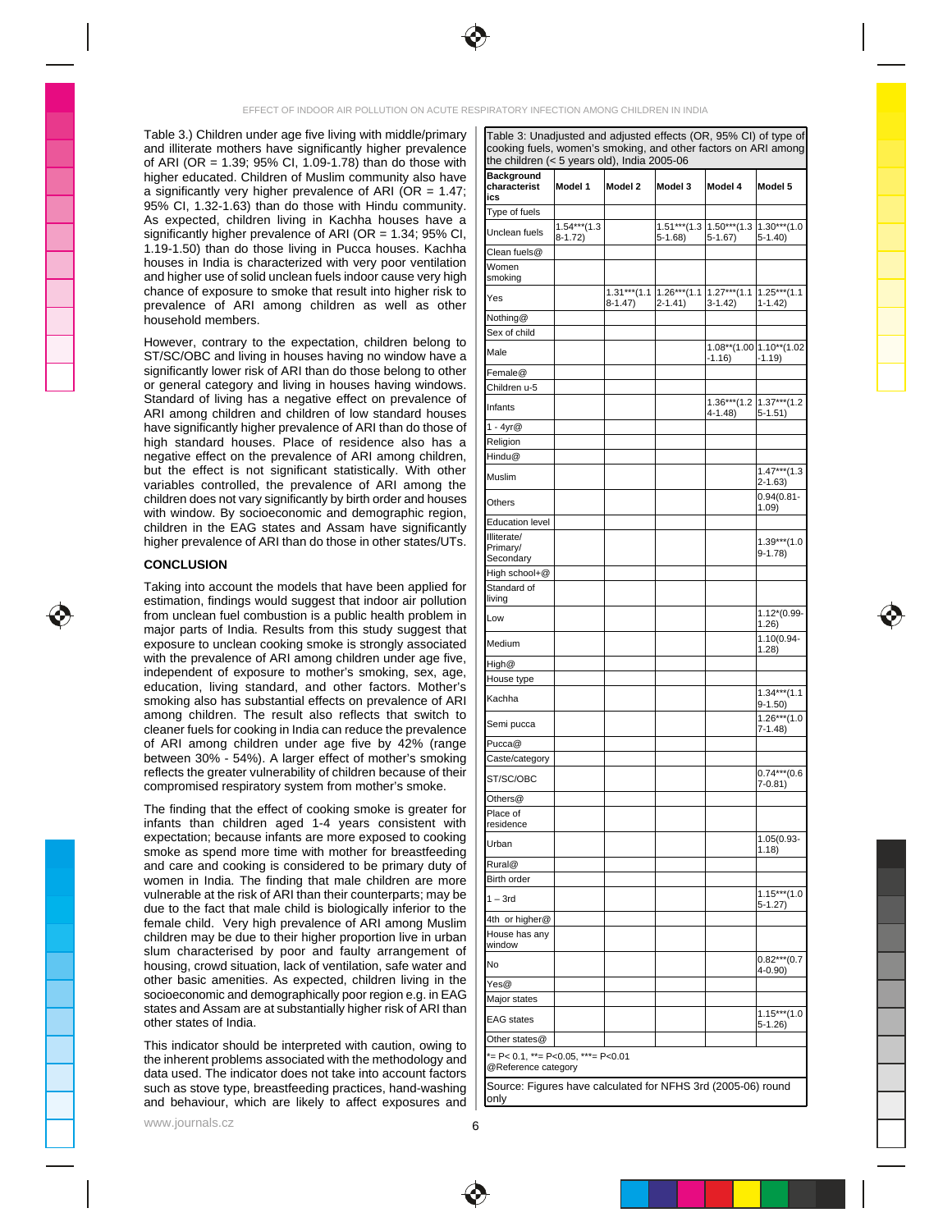

Table 3.) Children under age five living with middle/primary | Table 3: Unadjusted and adjusted effects (OR, 95% CI) of type of **with and the state of the control** and illiterate mothers have significantly higher prevalence of ARI (OR = 1.39; 95% CI, 1.09-1.78) than do those with  $\vert$  the children (< 5 years old), india 2005-06 higher educated. Children of Muslim community also have a significantly very higher prevalence of ARI (OR = 1.47;  $\left| \frac{\text{trace}}{\text{trace}} \right|$   $\left| \frac{\text{arithmetic}}{\text{trace}} \right|$   $\left| \frac{\text{arithmetic}}{\text{trace}} \right|$ 95% CI, 1.32-1.63) than do those with Hindu community.  $\frac{1}{1}$  is no of tuple  $\frac{1}{1}$  and  $\frac{1}{1}$  and  $\frac{1}{1}$  and  $\frac{1}{1}$  and  $\frac{1}{1}$  and  $\frac{1}{1}$  and  $\frac{1}{1}$  and  $\frac{1}{1}$  and  $\frac{1}{1}$  and  $\frac{1}{1}$  and As expected, children living in Kachha houses have a  $\sqrt{\frac{1.6444444}{1.64444444}}$ significantly higher prevalence of ARI (OR = 1.34; 95% CI,  $\vert$  Unclean fuels  $\vert_{8\text{-}1.72\rangle}$  (35-1.68)  $\vert$  5-1.68)  $\vert$  5-1.40)  $\vert$  5-1.40) 1.19-1.50) than do those living in Pucca houses. Kachha  $\overline{C}$ lean fuels  $\overline{Q}$ houses in India is characterized with very poor ventilation  $\frac{1}{W(\text{omen})}$ and higher use of solid unclean fuels indoor cause very high  $\parallel$  smoking when the control of the control of the control  $\parallel$  and higher use of solid unclean fuels indoor cause very high  $\parallel$  smoking when the control of th chance of exposure to smoke that result into higher risk to  $\vert_{\infty}$   $\vert_{\infty}$   $\vert$   $\cdot$  1.31\*\*\*(1.1 |1.26\*\*\*(1.1 |1.27\*\*\*(1.1 |1.25\*\*\*(1.1 |1.25\*\*\*(1.1 |1.25\*\*\*(1.1 |1.25\*\*\*(1.1 | prevalence of ARI among children as well as other  $\frac{1}{1}$   $\frac{2(1.47)}{3(1.42)}$   $\frac{3(1.42)}{1(1.42)}$   $\frac{1}{1.42}$ 

| th<br>the children (< 5 years old), India 2005-06<br>ve Background<br>7; Characterist Model 1 Model 2 Model 3 Model 4 Model 5                                                                                                                           |  |  |
|---------------------------------------------------------------------------------------------------------------------------------------------------------------------------------------------------------------------------------------------------------|--|--|
|                                                                                                                                                                                                                                                         |  |  |
|                                                                                                                                                                                                                                                         |  |  |
|                                                                                                                                                                                                                                                         |  |  |
|                                                                                                                                                                                                                                                         |  |  |
|                                                                                                                                                                                                                                                         |  |  |
|                                                                                                                                                                                                                                                         |  |  |
|                                                                                                                                                                                                                                                         |  |  |
|                                                                                                                                                                                                                                                         |  |  |
|                                                                                                                                                                                                                                                         |  |  |
|                                                                                                                                                                                                                                                         |  |  |
|                                                                                                                                                                                                                                                         |  |  |
|                                                                                                                                                                                                                                                         |  |  |
|                                                                                                                                                                                                                                                         |  |  |
|                                                                                                                                                                                                                                                         |  |  |
|                                                                                                                                                                                                                                                         |  |  |
|                                                                                                                                                                                                                                                         |  |  |
|                                                                                                                                                                                                                                                         |  |  |
|                                                                                                                                                                                                                                                         |  |  |
|                                                                                                                                                                                                                                                         |  |  |
|                                                                                                                                                                                                                                                         |  |  |
|                                                                                                                                                                                                                                                         |  |  |
|                                                                                                                                                                                                                                                         |  |  |
|                                                                                                                                                                                                                                                         |  |  |
|                                                                                                                                                                                                                                                         |  |  |
|                                                                                                                                                                                                                                                         |  |  |
| CONCLUSION                                                                                                                                                                                                                                              |  |  |
| ig into account the models that have been applied f                                                                                                                                                                                                     |  |  |
|                                                                                                                                                                                                                                                         |  |  |
|                                                                                                                                                                                                                                                         |  |  |
|                                                                                                                                                                                                                                                         |  |  |
|                                                                                                                                                                                                                                                         |  |  |
|                                                                                                                                                                                                                                                         |  |  |
|                                                                                                                                                                                                                                                         |  |  |
|                                                                                                                                                                                                                                                         |  |  |
| s substantial effects on previ<br>The result also reflects tl                                                                                                                                                                                           |  |  |
|                                                                                                                                                                                                                                                         |  |  |
|                                                                                                                                                                                                                                                         |  |  |
|                                                                                                                                                                                                                                                         |  |  |
|                                                                                                                                                                                                                                                         |  |  |
|                                                                                                                                                                                                                                                         |  |  |
|                                                                                                                                                                                                                                                         |  |  |
| children aged 1-4 year                                                                                                                                                                                                                                  |  |  |
| expectation: because infants are more exposed to cookir                                                                                                                                                                                                 |  |  |
|                                                                                                                                                                                                                                                         |  |  |
|                                                                                                                                                                                                                                                         |  |  |
|                                                                                                                                                                                                                                                         |  |  |
|                                                                                                                                                                                                                                                         |  |  |
|                                                                                                                                                                                                                                                         |  |  |
| expectation; because infants are more exposed to cooking<br>amoke as spend more time with mother for the attended ing the primary during the small care and cooking is considered to be primary dury of $\frac{\text{Gurla}}{\text{Rundale}}$<br>wulner |  |  |
|                                                                                                                                                                                                                                                         |  |  |
|                                                                                                                                                                                                                                                         |  |  |
|                                                                                                                                                                                                                                                         |  |  |
|                                                                                                                                                                                                                                                         |  |  |
|                                                                                                                                                                                                                                                         |  |  |
|                                                                                                                                                                                                                                                         |  |  |
|                                                                                                                                                                                                                                                         |  |  |
|                                                                                                                                                                                                                                                         |  |  |
|                                                                                                                                                                                                                                                         |  |  |
|                                                                                                                                                                                                                                                         |  |  |
|                                                                                                                                                                                                                                                         |  |  |





www.journals.cz  $\overline{6}$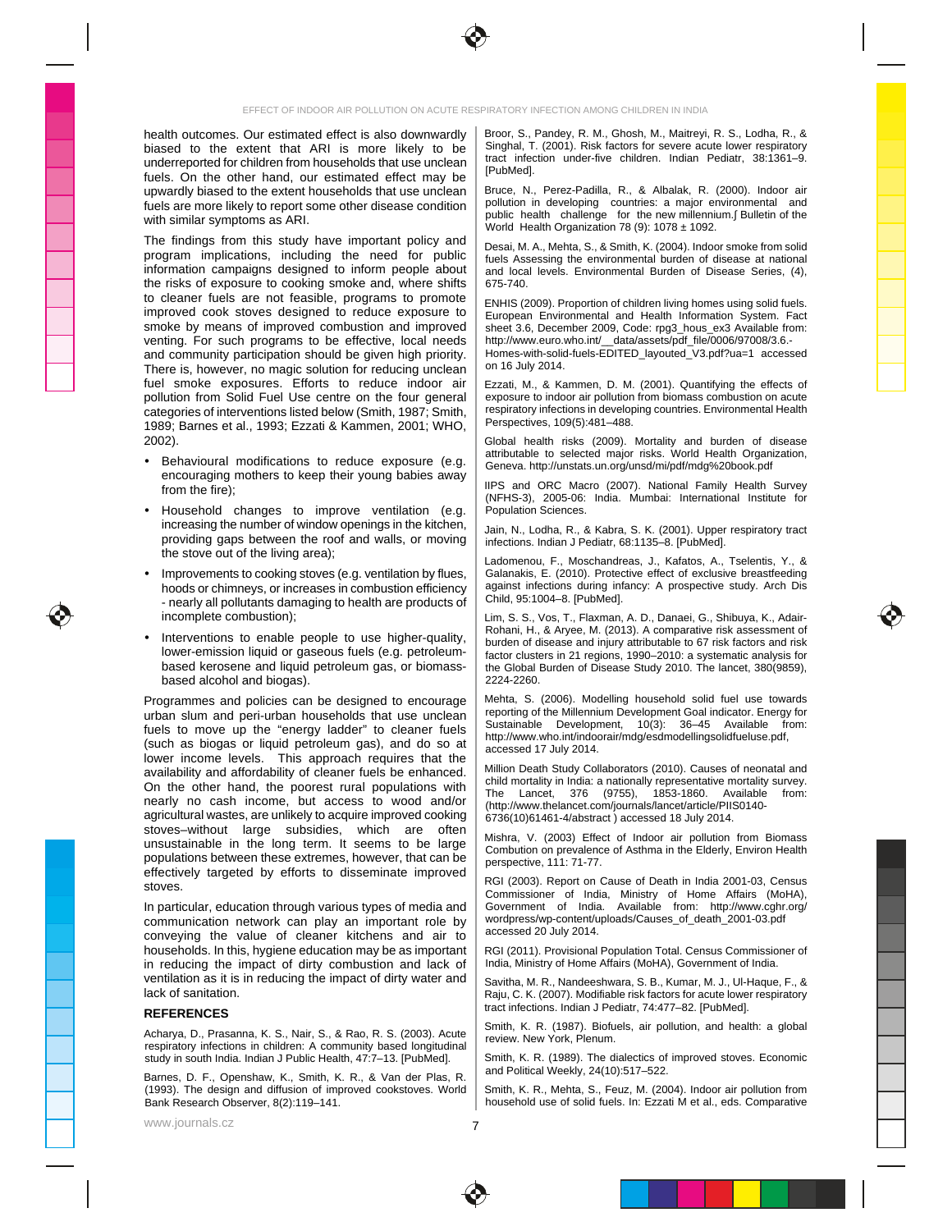

health outcomes. Our estimated effect is also downwardly | Broor, S., Pandey, R. M., Ghosh, M., Maitreyi, R. S., Lodha, R., & biased to the extent that ARI is more likely to be  $\vert$  Singhal,  $(2001)$ . Risk factors for severe acute lower respiratory underreported for children from households that use unclean and the state and the conditions conditions in the state of the conditions of the conditions of the conditions of the conditions of the conditions of the conditio fuels. On the other hand, our estimated effect may be  $\|\cdot\|^2$  the structure of the structure of the structure of the structure of the structure of the structure of the structure of the structure of the structure of the st upwardly biased to the extent households that use unclean | Bruce, N., Perez-Padilla, R., & Albalak, R. (2000). Indoor air fuels are more likely to report some other disease condition | pollution in developing countries: a major environmental and

The findings from this study have important policy and  $\bigcup_{\text{Desai M A. Math 5}}$  & Smith K (2004) Indoor smoke from solid program implications, including the need for public  $\left| \frac{f_{\text{total}}}{f_{\text{total}}}\right|$  Assessing the environmental burden of disease at national information campaigns designed to inform people about | and local levels. Environmental Burden of Disease Series, (4), the risks of exposure to cooking smoke and, where shifts  $\vert$  675-740. to cleaner fuels are not feasible, programs to promote improved cook stoves designed to reduce exposure to  $\vert$  European Environmental and Health Information System. Fact smoke by means of improved combustion and improved sheet 3.6, December 2009, Code: rpg3\_hous\_ex3 Available from: venting. For such programs to be effective, local needs | http://www.euro.who.int/\_\_data/assets/pdf\_file/0006/97008/3.6.and community participation should be given high priority. | Homes-with-solid-fuels-EDITED\_layouted\_V3.pdf?ua=1 accessed | | | There is, however, no magic solution for reducing unclean  $\begin{bmatrix} 0 & 16 & \text{Juiy } 2014. \end{bmatrix}$ fuel smoke exposures. Efforts to reduce indoor air | Ezzati, M., & Kammen, D. M. (2001). Quantifying the effects of pollution from Solid Fuel Use centre on the four general categories of interventions listed below (Smith, 1987; Smith, | respiratory intections in developing countries. Environmental Health 1989; Barnes et al., 1993; Ezzati & Kammen, 2001; WHO,  $\parallel$  Perspectives, 109(5):481–488.

- encouraging mothers to keep their young babies away and the same of the same of the same of the same of the same of the same of the same of the same of the same of the same of the same of the same of the same of the same o
- Household changes to improve ventilation (e.g. Population-Sciences. increasing the number of window openings in the kitchen,  $\parallel$  Jain N Lodba R & Kabra S K (2001). Upper respiratory tract the stove out of the living area);<br>the stove out of the living area);<br>the stove out of the living area);<br>the stove out of the living area);
- nearly all pollutants damaging to health are products of  $\parallel$  Child, 95.1004–8. [PubMed].
- lower-emission liquid or gaseous fuels (e.g. petroleumbased kerosene and liquid petroleum gas, or biomass-

urban slum and peri-urban households that use unclean  $\vert$  reporting of the Multipropriation of  $\Omega_{\rm DM}$  is the state of  $\Omega_{\rm DM}$ . fuels to move up the "energy ladder" to cleaner fuels were experiment to the experiment of the contraction of the experiment of the substanting of the contraction of the contraction of the contraction of the substanting of (such as biogas or liquid petroleum gas), and do so at  $\frac{m_{\text{F}}}{2C}$  and  $\frac{m_{\text{F}}}{2}$  and  $\frac{m_{\text{F}}}{2}$  and  $\frac{m_{\text{F}}}{2}$  and  $\frac{m_{\text{F}}}{2}$  and  $\frac{m_{\text{F}}}{2}$  and  $\frac{m_{\text{F}}}{2}$  and  $\frac{m_{\text{F}}}{2}$  and  $\frac{m_{$ lower income levels. This approach requires that the summary and contract the contract of the contract of the contract of the contract of the contract of the contract of the contract of the contract of the contract of the agricultural wastes, are unlikely to acquire improved cooking  $\; \mid \;$  6736(10)61461-4/abstract ) accessed 18 July 2014. stoves–without large subsidies, which are often with the U. (2003) Effect of Indeer air pollution from Piemace unsustainable in the long term. It seems to be large  $\sum_{n=1}^{\infty}$  combution on prevalence of Asthma in the Elderly Environ Health populations between these extremes, however, that can be  $\frac{1}{\text{perspectrum}}$  and  $\frac{1}{1}$   $\frac{7}{1}$   $\frac{7}{7}$ effectively targeted by efforts to disseminate improved  $\vert$  bol (2000) B and  $\vert$  and  $\vert$  and  $\vert$  and  $\vert$  and  $\vert$  and  $\vert$  and  $\vert$  and  $\vert$  and  $\vert$  and  $\vert$  and  $\vert$  and  $\vert$  and  $\vert$  and  $\vert$  and  $\vert$  and  $\vert$  and

In particular, education through various types of media and | Government of India. Available from: http://www.cghr.org/ | | | | communication network can play an important role by | wordpress/wp-content/uploads/Causes\_ot\_death\_2001-03.pdf conveying the value of cleaner kitchens and air to  $\frac{1}{2}$  accessed 20 July 2014. households. In this, hygiene education may be as important | RGI (2011). Provisional Population Total. Census Commissioner of **Figure** in reducing the impact of dirty combustion and lack of | India, Ministry of Home Affairs (MoHA), Government of India. ventilation as it is in reducing the impact of dirty water and  $\parallel$  Savitha. M. R., Nandeeshwara, S. B., Kumar, M. J., Ul-Haque, F., &

Nutratya, D., Frasamua, N. S., Nam, S., & Naw, N. S. (2005). Accue<br>
Subspiratory infections in children: A community based longitudinal<br>
study in south India. Indian J Public Health, 47:7–13. [PubMed]. Smith, K. R. (1989).

Barnes, D. F., Openshaw, K., Smith, K. R., & Van der Plas, R. |  $\frac{1}{2}$  and the contract result, and the contract results of the contract results of the contract results of the contract results of the contract results of

www.journals.cz

Broor, S., Pandey, R. M., Ghosh, M., Maitreyi, R. S., Lodha, R., & Singhal, T. (2001). Risk factors for severe acute lower respiratory tract infection under-five children. Indian Pediatr, 38:1361–9. [PubMed].

with similar symptoms as ARI.  $\frac{1}{2}$  and  $\frac{1}{2}$  and  $\frac{1}{2}$  and  $\frac{1}{2}$  and  $\frac{1}{2}$  and  $\frac{1}{2}$  and  $\frac{1}{2}$  and  $\frac{1}{2}$  and  $\frac{1}{2}$  and  $\frac{1}{2}$  and  $\frac{1}{2}$  and  $\frac{1}{2}$  and  $\frac{1}{2}$  and  $\frac{1}{2}$ Bruce, N., Perez-Padilla, R., & Albalak, R. (2000). Indoor air pollution in developing countries: a major environmental and public health challenge for the new millennium. Bulletin of the second the second the second the second to the World Health Organization 78 (9): 1078  $\pm$  1092.

Desai, M. A., Mehta, S., & Smith, K. (2004). Indoor smoke from solid fuels Assessing the environmental burden of disease at national and local levels. Environmental Burden of Disease Series, (4), and local levels. Environmental Burden of Disease Series, (4), The Toron Local Disease Series, (4), 675-740.

ENHIS (2009). Proportion of children living homes using solid fuels. European Environmental and Health Information System. Fact sheet 3.6, December 2009, Code: rpg3\_hous\_ex3 Available from: \_\_\_\_\_\_\_\_\_\_\_\_\_\_\_\_\_\_ http://www.euro.who.int/\_\_data/assets/pdf\_file/0006/97008/3.6.- Homes-with-solid-fuels-EDITED\_layouted\_V3.pdf?ua=1 accessed on 16 July 2014.  $\Box$ 

Ezzati, M., & Kammen, D. M. (2001). Quantifying the effects of **Example 20** exposure to indoor air pollution from biomass combustion on acute respiratory infections in developing countries. Environmental Health Perspectives, 109(5):481–488.

2002). Clook and the state of the state of the state of the state of the state of the state of the state of the state of the state of the state of the state of the state of the state of the state of the state of the state Behavioural modifications to reduce exposure (e.g.  $\frac{1}{12}$   $\frac{1}{12}$   $\frac{1}{12}$   $\frac{1}{12}$   $\frac{1}{12}$   $\frac{1}{12}$   $\frac{1}{12}$   $\frac{1}{12}$   $\frac{1}{12}$   $\frac{1}{12}$   $\frac{1}{12}$   $\frac{1}{12}$   $\frac{1}{12}$   $\frac{1}{12}$   $\frac{1}{12}$   $\frac{1$ Global health risks (2009). Mortality and burden of disease attributable to selected major risks. World Health Organization, Geneva. http://unstats.un.org/unsd/mi/pdf/mdg%20book.pdf

from the fire); the same set of  $\mathbb{R}^n$  and  $\mathbb{R}^n$  and  $\mathbb{R}^n$  and  $\mathbb{R}^n$  and  $\mathbb{R}^n$  and  $\mathbb{R}^n$  and  $\mathbb{R}^n$  and  $\mathbb{R}^n$  and  $\mathbb{R}^n$  and  $\mathbb{R}^n$  and  $\mathbb{R}^n$  and  $\mathbb{R}^n$  and  $\mathbb{R}^n$ IIPS and ORC Macro (2007). National Family Health Survey (NFHS-3), 2005-06: India. Mumbai: International Institute for Population Sciences.

providing gaps between the roof and walls, or moving  $\parallel$  infections. Indian J Pediatr. 68:1135–8. IPubMedl. Jain, N., Lodha, R., & Kabra, S. K. (2001). Upper respiratory tract infections. Indian J Pediatr, 68:1135–8. [PubMed].

• Improvements to cooking stoves (e.g. ventilation by flues, | Galanakis, E. (2010). Protective effect of exclusive breastfeeding hoods or chimneys, or increases in combustion efficiency | against infections during infancy: A prospective study. Arch Dis Ladomenou, F., Moschandreas, J., Kafatos, A., Tselentis, Y., & Galanakis, E. (2010). Protective effect of exclusive breastfeeding against infections during infancy: A prospective study. Arch Dis Child, 95:1004–8. [PubMed].  $\blacksquare$ 

incomplete combustion); Lim, S. S., Vos, T., Flaxman, A. D., Danaei, G., Shibuya, K., Adair-Interventions to enable people to use higher-quality,  $\frac{1}{2}$  the state and injury attitude to 67 risk factors and risk based alcohol and biogas). Lim, S. S., Vos, T., Flaxman, A. D., Danaei, G., Shibuya, K., Adair-Rohani, H., & Aryee, M. (2013). A comparative risk assessment of Rohani, H., & Aryee, M. (2013). A comparative risk assessment of  $\hskip1cm \top$ burden of disease and injury attributable to 67 risk factors and risk factor clusters in 21 regions, 1990–2010: a systematic analysis for the Global Burden of Disease Study 2010. The lancet, 380(9859), 2224-2260.

Programmes and policies can be designed to encourage | Mehta, S. (2006). Modelling household solid fuel use towards Mehta, S. (2006). Modelling household solid fuel use towards reporting of the Millennium Development Goal indicator. Energy for Sustainable Development, 10(3): 36–45 Available from: http://www.who.int/indoorair/mdg/esdmodellingsolidfueluse.pdf, accessed 17 July 2014.

availability and affordability of cleaner fuels be enhanced. Nillie and study collaborators (2010). Causes or neonatal and the study collaborators of the current of the current of the current of the current of the current On the other hand, the poorest rural populations with  $\sum_{n=0}^{\infty}$  has been almode the position of  $\sum_{n=0}^{\infty}$  ( $\sum_{n=0}^{\infty}$  and  $\sum_{n=0}^{\infty}$  and  $\sum_{n=0}^{\infty}$  and  $\sum_{n=0}^{\infty}$  and  $\sum_{n=0}^{\infty}$  and  $\sum_{n=0}^$ nearly no cash income, but access to wood and/or  $\left| \right|_{\text{thtn}/\text{MWW}}$  then est com/inumals/lancet/article/PIIS0140-Million Death Study Collaborators (2010). Causes of neonatal and child mortality in India: a nationally representative mortality survey. The Lancet, 376 (9755), 1853-1860. Available from: (http://www.thelancet.com/journals/lancet/article/PIIS0140- 6736(10)61461-4/abstract ) accessed 18 July 2014.

Mishra, V. (2003) Effect of Indoor air pollution from Biomass Combution on prevalence of Asthma in the Elderly, Environ Health perspective, 111: 71-77.

stoves. The contract of the contract of the contract of the contract of the contract of the contract of the contract of the contract of the contract of the contract of the contract of the contract of the contract of the co RGI (2003). Report on Cause of Death in India 2001-03, Census Commissioner of India, Ministry of Home Affairs (MoHA), Government of India. Available from: http://www.cghr.org/ wordpress/wp-content/uploads/Causes\_of\_death\_2001-03.pdf accessed 20 July 2014.

RGI (2011). Provisional Population Total. Census Commissioner of **Figure 1** India, Ministry of Home Affairs (MoHA), Government of India.

lack of sanitation. **Example 20** in the same of the same of same of sanitation states in the same of sanitation. **REFERENCES** Savitha, M. R., Nandeeshwara, S. B., Kumar, M. J., Ul-Haque, F., & Raju, C. K. (2007). Modifiable risk factors for acute lower respiratory tract infections. Indian J Pediatr, 74:477–82. [PubMed].

Acharya, D., Prasanna, K. S., Nair, S., & Rao, R. S. (2003). Acute review Note Dlepun New York Dlepun New York Denteron, and house. I will be review New York Dlepun Smith, K. R. (1987). Biofuels, air pollution, and health: a global review. New York, Plenum.

study in south India. Indian J Public Health, 47:7–13. [PubMed]. | Smith, K. R. (1989). The dialectics of improved stoves. Economic \_\_\_\_\_\_\_\_\_\_\_\_\_\_\_\_\_\_\_\_\_\_\_\_\_\_\_ Smith, K. R. (1989). The dialectics of improved stoves. Economic **Example 20 CONVENTS** and Political Weekly, 24(10):517–522.

(1993). The design and diffusion of improved cookstoves. World Bank Research Observer, 8(2):119–141. Smith, K. R., Mehta, S., Feuz, M. (2004). Indoor air pollution from household use of solid fuels. In: Ezzati M et al., eds. Comparative

 $7$